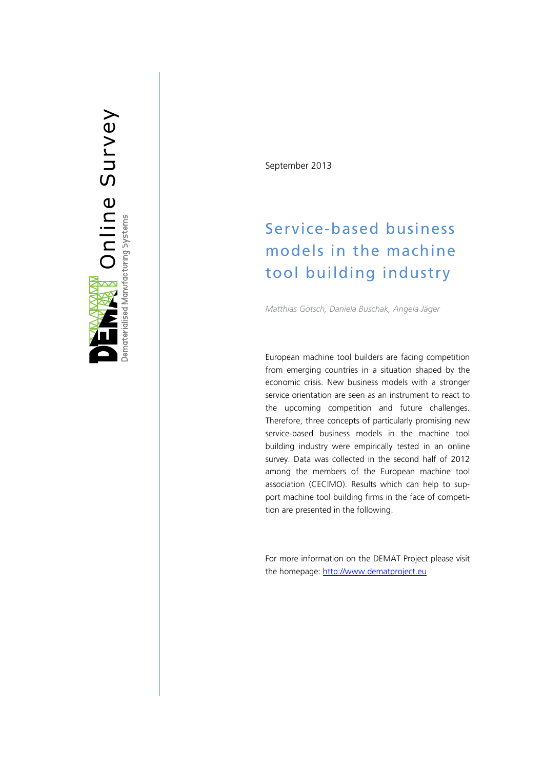

September 2013

# Service-based business models in the machine tool building industry

*Matthias Gotsch, Daniela Buschak, Angela Jäger*

European machine tool builders are facing competition from emerging countries in a situation shaped by the economic crisis. New business models with a stronger service orientation are seen as an instrument to react to the upcoming competition and future challenges. Therefore, three concepts of particularly promising new service -based business models in the machine tool buil ding industry were empirically tested in an online survey. Data was collected in the second half of 2012 among the members of the European machine tool association (CECIMO). Results which can help to support machine tool building firms in the face of competition are presented in the following.

For more information on the DEMAT Project please visit the homepage: http://www.dematproject.eu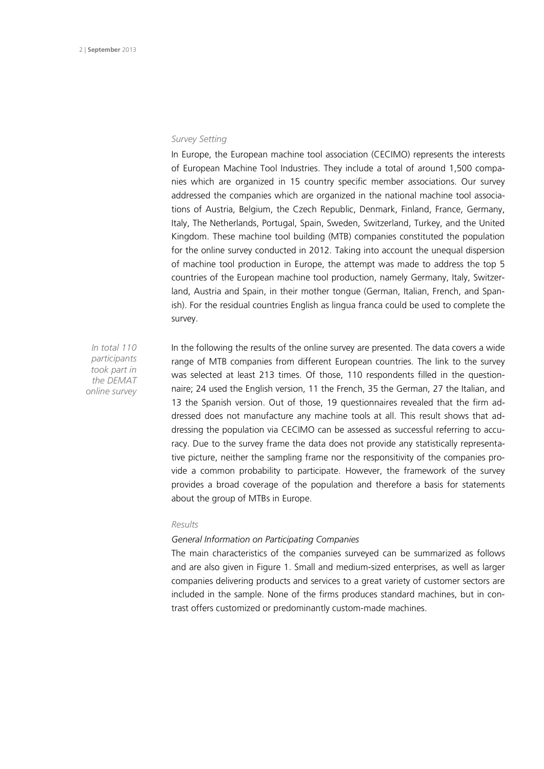## *Survey Setting*

In Europe, the European machine tool association (CECIMO) represents the interests of European Machine Tool Industries. They include a total of around 1,500 companies which are organized in 15 country specific member associations. Our survey addressed the companies which are organized in the national machine tool associations of Austria, Belgium, the Czech Republic, Denmark, Finland, France, Germany, Italy, The Netherlands, Portugal, Spain, Sweden, Switzerland, Turkey, and the United Kingdom. These machine tool building (MTB) companies constituted the population for the online survey conducted in 2012. Taking into account the unequal dispersion of machine tool production in Europe, the attempt was made to address the top 5 countries of the European machine tool production, namely Germany, Italy, Switzerland, Austria and Spain, in their mother tongue (German, Italian, French, and Spanish). For the residual countries English as lingua franca could be used to complete the survey.

*In total 110 participants took part in the DEMAT online survey* In the following the results of the online survey are presented. The data covers a wide range of MTB companies from different European countries. The link to the survey was selected at least 213 times. Of those, 110 respondents filled in the questionnaire; 24 used the English version, 11 the French, 35 the German, 27 the Italian, and 13 the Spanish version. Out of those, 19 questionnaires revealed that the firm addressed does not manufacture any machine tools at all. This result shows that addressing the population via CECIMO can be assessed as successful referring to accuracy. Due to the survey frame the data does not provide any statistically representative picture, neither the sampling frame nor the responsitivity of the companies provide a common probability to participate. However, the framework of the survey provides a broad coverage of the population and therefore a basis for statements about the group of MTBs in Europe.

#### *Results*

### *General Information on Participating Companies*

The main characteristics of the companies surveyed can be summarized as follows and are also given in Figure 1. Small and medium-sized enterprises, as well as larger companies delivering products and services to a great variety of customer sectors are included in the sample. None of the firms produces standard machines, but in contrast offers customized or predominantly custom-made machines.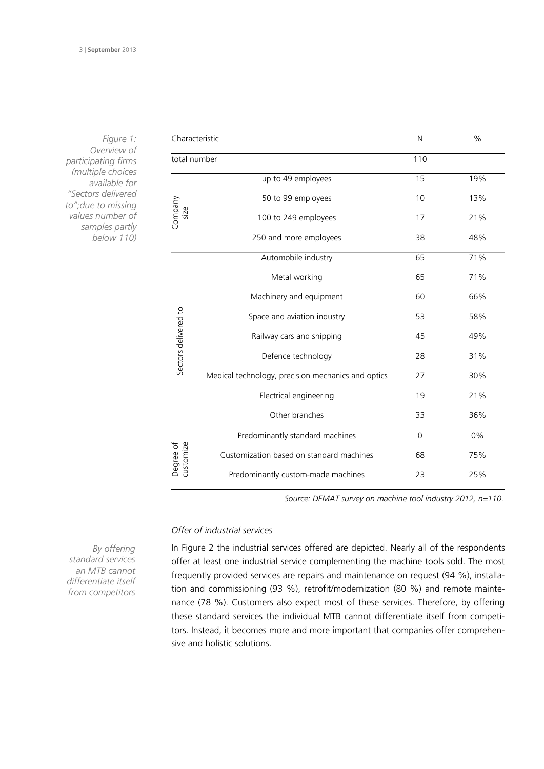| Characteristic         |                                                    | N        | $\%$  |
|------------------------|----------------------------------------------------|----------|-------|
| total number           |                                                    | 110      |       |
| Company<br>size        | up to 49 employees                                 | 15       | 19%   |
|                        | 50 to 99 employees                                 | 10       | 13%   |
|                        | 100 to 249 employees                               | 17       | 21%   |
|                        | 250 and more employees                             | 38       | 48%   |
| Sectors delivered to   | Automobile industry                                | 65       | 71%   |
|                        | Metal working                                      | 65       | 71%   |
|                        | Machinery and equipment                            | 60       | 66%   |
|                        | Space and aviation industry                        | 53       | 58%   |
|                        | Railway cars and shipping                          | 45       | 49%   |
|                        | Defence technology                                 | 28       | 31%   |
|                        | Medical technology, precision mechanics and optics | 27       | 30%   |
|                        | Electrical engineering                             | 19       | 21%   |
|                        | Other branches                                     | 33       | 36%   |
| customize<br>Degree of | Predominantly standard machines                    | $\Omega$ | $0\%$ |
|                        | Customization based on standard machines           | 68       | 75%   |
|                        | Predominantly custom-made machines                 | 23       | 25%   |
|                        |                                                    |          |       |

*Figure 1: Overview of participating firms (multiple choices available for "Sectors delivered to";due to missing values number of samples partly below 110)*

*Source: DEMAT survey on machine tool industry 2012, n=110.*

## *Offer of industrial services*

In Figure 2 the industrial services offered are depicted. Nearly all of the respondents offer at least one industrial service complementing the machine tools sold. The most frequently provided services are repairs and maintenance on request (94 %), installation and commissioning (93 %), retrofit/modernization (80 %) and remote maintenance (78 %). Customers also expect most of these services. Therefore, by offering these standard services the individual MTB cannot differentiate itself from competitors. Instead, it becomes more and more important that companies offer comprehensive and holistic solutions.

*By offering standard services an MTB cannot differentiate itself from competitors*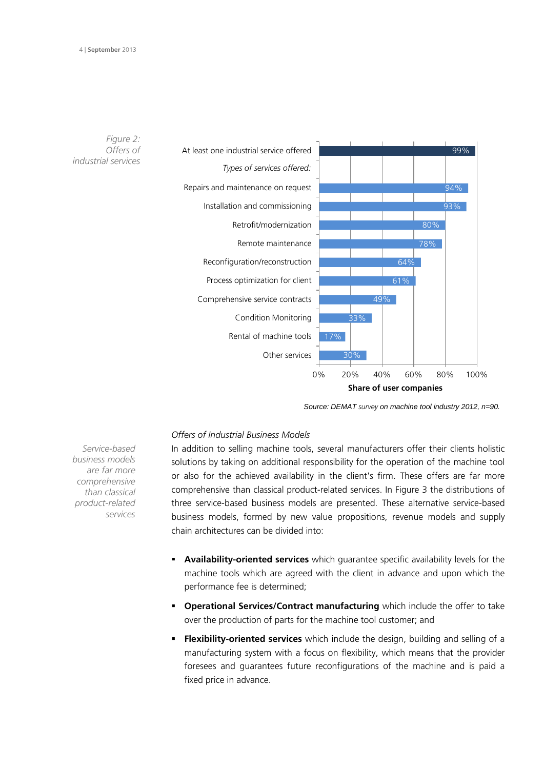

*Source: DEMAT survey on machine tool industry 2012, n=90.* 

# *Offers of Industrial Business Models*

In addition to selling machine tools, several manufacturers offer their clients holistic solutions by taking on additional responsibility for the operation of the machine tool or also for the achieved availability in the client's firm. These offers are far more comprehensive than classical product-related services. In Figure 3 the distributions of three service-based business models are presented. These alternative service-based business models, formed by new value propositions, revenue models and supply chain architectures can be divided into:

- **Availability-oriented services** which guarantee specific availability levels for the machine tools which are agreed with the client in advance and upon which the performance fee is determined;
- **Operational Services/Contract manufacturing** which include the offer to take over the production of parts for the machine tool customer; and
- **Flexibility-oriented services** which include the design, building and selling of a manufacturing system with a focus on flexibility, which means that the provider foresees and guarantees future reconfigurations of the machine and is paid a fixed price in advance.

*Service-based business models are far more comprehensive than classical product-related services*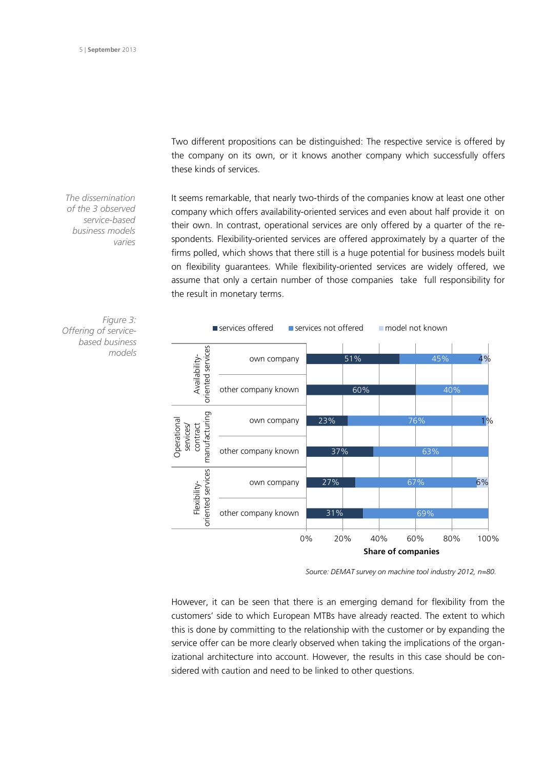Two different propositions can be distinguished: The respective service is offered by the company on its own, or it knows another company which successfully offers these kinds of services.

*The dissemination of the 3 observed service-based business models varies* 

It seems remarkable, that nearly two-thirds of the companies know at least one other company which offers availability-oriented services and even about half provide it on their own. In contrast, operational services are only offered by a quarter of the respondents. Flexibility-oriented services are offered approximately by a quarter of the firms polled, which shows that there still is a huge potential for business models built on flexibility guarantees. While flexibility-oriented services are widely offered, we assume that only a certain number of those companies take full responsibility for the result in monetary terms.



*Figure 3: Offering of servicebased business models*

*Source: DEMAT survey on machine tool industry 2012, n=80.* 

However, it can be seen that there is an emerging demand for flexibility from the customers' side to which European MTBs have already reacted. The extent to which this is done by committing to the relationship with the customer or by expanding the service offer can be more clearly observed when taking the implications of the organizational architecture into account. However, the results in this case should be considered with caution and need to be linked to other questions.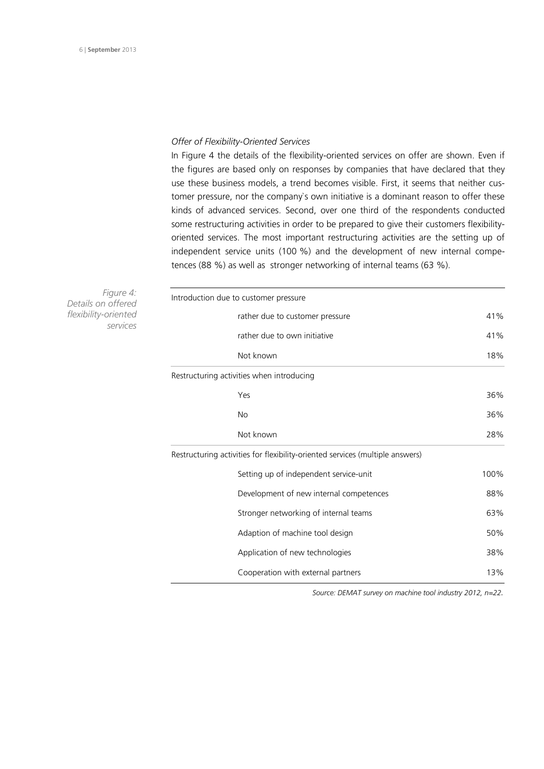#### *Offer of Flexibility-Oriented Services*

In Figure 4 the details of the flexibility-oriented services on offer are shown. Even if the figures are based only on responses by companies that have declared that they use these business models, a trend becomes visible. First, it seems that neither customer pressure, nor the company`s own initiative is a dominant reason to offer these kinds of advanced services. Second, over one third of the respondents conducted some restructuring activities in order to be prepared to give their customers flexibilityoriented services. The most important restructuring activities are the setting up of independent service units (100 %) and the development of new internal competences (88 %) as well as stronger networking of internal teams (63 %).

*Figure 4: Details on offered flexibility-oriented services*

| Introduction due to customer pressure                                         |      |
|-------------------------------------------------------------------------------|------|
| rather due to customer pressure                                               | 41%  |
| rather due to own initiative                                                  | 41%  |
| Not known                                                                     | 18%  |
| Restructuring activities when introducing                                     |      |
| Yes                                                                           | 36%  |
| No                                                                            | 36%  |
| Not known                                                                     | 28%  |
| Restructuring activities for flexibility-oriented services (multiple answers) |      |
| Setting up of independent service-unit                                        | 100% |
| Development of new internal competences                                       | 88%  |
| Stronger networking of internal teams                                         | 63%  |
| Adaption of machine tool design                                               | 50%  |
| Application of new technologies                                               | 38%  |
| Cooperation with external partners                                            | 13%  |

*Source: DEMAT survey on machine tool industry 2012, n=22.*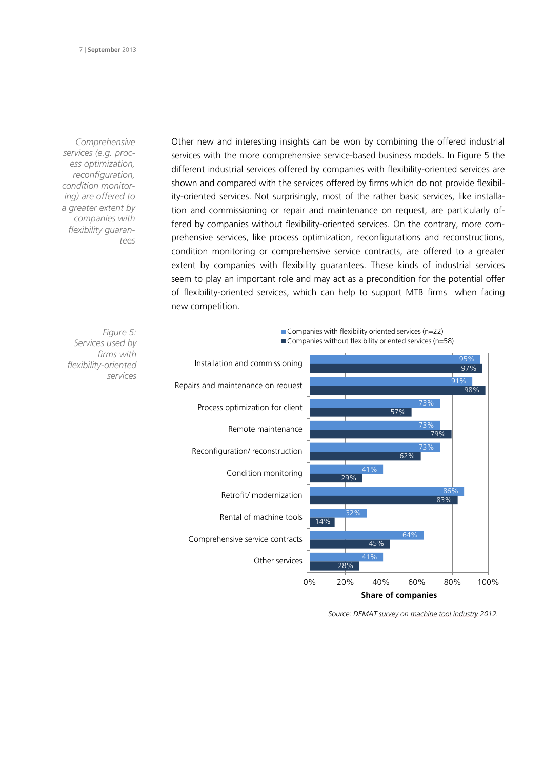*Comprehensive services (e.g. process optimization, reconfiguration, condition monitoring) are offered to a greater extent by companies with flexibility guarantees* 

> *Figure 5: Services used by firms with*

> > *services*

*flexibility-oriented* 

Other new and interesting insights can be won by combining the offered industrial services with the more comprehensive service-based business models. In Figure 5 the different industrial services offered by companies with flexibility-oriented services are shown and compared with the services offered by firms which do not provide flexibility-oriented services. Not surprisingly, most of the rather basic services, like installation and commissioning or repair and maintenance on request, are particularly offered by companies without flexibility-oriented services. On the contrary, more comprehensive services, like process optimization, reconfigurations and reconstructions, condition monitoring or comprehensive service contracts, are offered to a greater extent by companies with flexibility guarantees. These kinds of industrial services seem to play an important role and may act as a precondition for the potential offer of flexibility-oriented services, which can help to support MTB firms when facing new competition.



 $\blacksquare$  Companies with flexibility oriented services (n=22)

*Source: DEMAT survey on machine tool industry 2012.*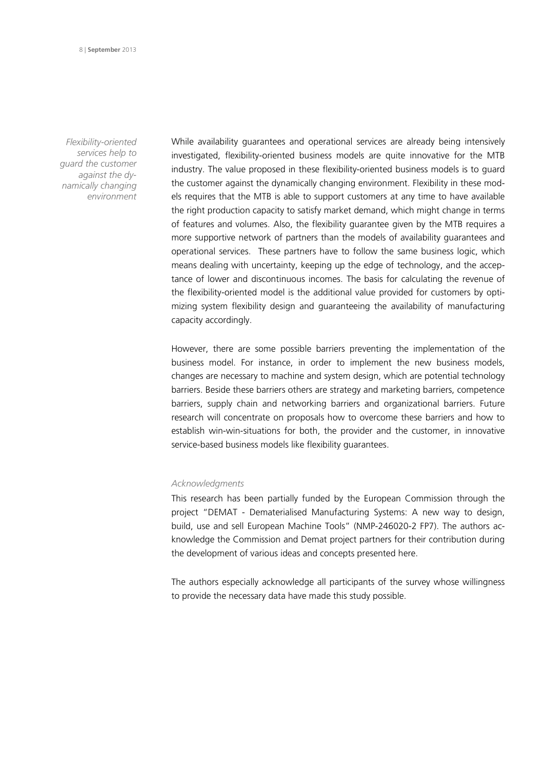*Flexibility-oriented services help to guard the customer against the dynamically changing environment*

While availability guarantees and operational services are already being intensively investigated, flexibility-oriented business models are quite innovative for the MTB industry. The value proposed in these flexibility-oriented business models is to guard the customer against the dynamically changing environment. Flexibility in these models requires that the MTB is able to support customers at any time to have available the right production capacity to satisfy market demand, which might change in terms of features and volumes. Also, the flexibility guarantee given by the MTB requires a more supportive network of partners than the models of availability guarantees and operational services. These partners have to follow the same business logic, which means dealing with uncertainty, keeping up the edge of technology, and the acceptance of lower and discontinuous incomes. The basis for calculating the revenue of the flexibility-oriented model is the additional value provided for customers by optimizing system flexibility design and guaranteeing the availability of manufacturing capacity accordingly.

However, there are some possible barriers preventing the implementation of the business model. For instance, in order to implement the new business models, changes are necessary to machine and system design, which are potential technology barriers. Beside these barriers others are strategy and marketing barriers, competence barriers, supply chain and networking barriers and organizational barriers. Future research will concentrate on proposals how to overcome these barriers and how to establish win-win-situations for both, the provider and the customer, in innovative service-based business models like flexibility guarantees.

## *Acknowledgments*

This research has been partially funded by the European Commission through the project "DEMAT - Dematerialised Manufacturing Systems: A new way to design, build, use and sell European Machine Tools" (NMP-246020-2 FP7). The authors acknowledge the Commission and Demat project partners for their contribution during the development of various ideas and concepts presented here.

The authors especially acknowledge all participants of the survey whose willingness to provide the necessary data have made this study possible.